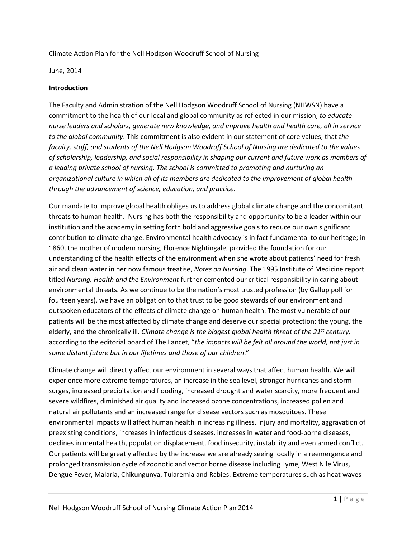Climate Action Plan for the Nell Hodgson Woodruff School of Nursing

June, 2014

### **Introduction**

The Faculty and Administration of the Nell Hodgson Woodruff School of Nursing (NHWSN) have a commitment to the health of our local and global community as reflected in our mission, *to educate nurse leaders and scholars, generate new knowledge, and improve health and health care, all in service to the global community*. This commitment is also evident in our statement of core values, that *the faculty, staff, and students of the Nell Hodgson Woodruff School of Nursing are dedicated to the values of scholarship, leadership, and social responsibility in shaping our current and future work as members of a leading private school of nursing. The school is committed to promoting and nurturing an organizational culture in which all of its members are dedicated to the improvement of global health through the advancement of science, education, and practice*.

Our mandate to improve global health obliges us to address global climate change and the concomitant threats to human health. Nursing has both the responsibility and opportunity to be a leader within our institution and the academy in setting forth bold and aggressive goals to reduce our own significant contribution to climate change. Environmental health advocacy is in fact fundamental to our heritage; in 1860, the mother of modern nursing, Florence Nightingale, provided the foundation for our understanding of the health effects of the environment when she wrote about patients' need for fresh air and clean water in her now famous treatise, *Notes on Nursing*. The 1995 Institute of Medicine report titled *Nursing, Health and the Environment* further cemented our critical responsibility in caring about environmental threats. As we continue to be the nation's most trusted profession (by Gallup poll for fourteen years), we have an obligation to that trust to be good stewards of our environment and outspoken educators of the effects of climate change on human health. The most vulnerable of our patients will be the most affected by climate change and deserve our special protection: the young, the elderly, and the chronically ill. *Climate change is the biggest global health threat of the 21st century,* according to the editorial board of The Lancet, "*the impacts will be felt all around the world, not just in some distant future but in our lifetimes and those of our children*."

Climate change will directly affect our environment in several ways that affect human health. We will experience more extreme temperatures, an increase in the sea level, stronger hurricanes and storm surges, increased precipitation and flooding, increased drought and water scarcity, more frequent and severe wildfires, diminished air quality and increased ozone concentrations, increased pollen and natural air pollutants and an increased range for disease vectors such as mosquitoes. These environmental impacts will affect human health in increasing illness, injury and mortality, aggravation of preexisting conditions, increases in infectious diseases, increases in water and food-borne diseases, declines in mental health, population displacement, food insecurity, instability and even armed conflict. Our patients will be greatly affected by the increase we are already seeing locally in a reemergence and prolonged transmission cycle of zoonotic and vector borne disease including Lyme, West Nile Virus, Dengue Fever, Malaria, Chikungunya, Tularemia and Rabies. Extreme temperatures such as heat waves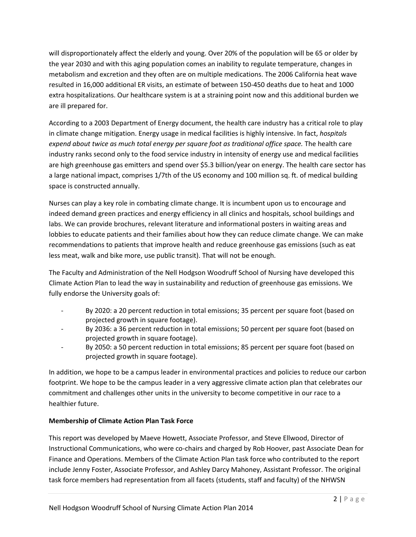will disproportionately affect the elderly and young. Over 20% of the population will be 65 or older by the year 2030 and with this aging population comes an inability to regulate temperature, changes in metabolism and excretion and they often are on multiple medications. The 2006 California heat wave resulted in 16,000 additional ER visits, an estimate of between 150-450 deaths due to heat and 1000 extra hospitalizations. Our healthcare system is at a straining point now and this additional burden we are ill prepared for.

According to a 2003 Department of Energy document, the health care industry has a critical role to play in climate change mitigation. Energy usage in medical facilities is highly intensive. In fact, *hospitals expend about twice as much total energy per square foot as traditional office space.* The health care industry ranks second only to the food service industry in intensity of energy use and medical facilities are high greenhouse gas emitters and spend over \$5.3 billion/year on energy. The health care sector has a large national impact, comprises 1/7th of the US economy and 100 million sq. ft. of medical building space is constructed annually.

Nurses can play a key role in combating climate change. It is incumbent upon us to encourage and indeed demand green practices and energy efficiency in all clinics and hospitals, school buildings and labs. We can provide brochures, relevant literature and informational posters in waiting areas and lobbies to educate patients and their families about how they can reduce climate change. We can make recommendations to patients that improve health and reduce greenhouse gas emissions (such as eat less meat, walk and bike more, use public transit). That will not be enough.

The Faculty and Administration of the Nell Hodgson Woodruff School of Nursing have developed this Climate Action Plan to lead the way in sustainability and reduction of greenhouse gas emissions. We fully endorse the University goals of:

- By 2020: a 20 percent reduction in total emissions; 35 percent per square foot (based on projected growth in square footage).
- By 2036: a 36 percent reduction in total emissions; 50 percent per square foot (based on projected growth in square footage).
- By 2050: a 50 percent reduction in total emissions; 85 percent per square foot (based on projected growth in square footage).

In addition, we hope to be a campus leader in environmental practices and policies to reduce our carbon footprint. We hope to be the campus leader in a very aggressive climate action plan that celebrates our commitment and challenges other units in the university to become competitive in our race to a healthier future.

# **Membership of Climate Action Plan Task Force**

This report was developed by Maeve Howett, Associate Professor, and Steve Ellwood, Director of Instructional Communications, who were co-chairs and charged by Rob Hoover, past Associate Dean for Finance and Operations. Members of the Climate Action Plan task force who contributed to the report include Jenny Foster, Associate Professor, and Ashley Darcy Mahoney, Assistant Professor. The original task force members had representation from all facets (students, staff and faculty) of the NHWSN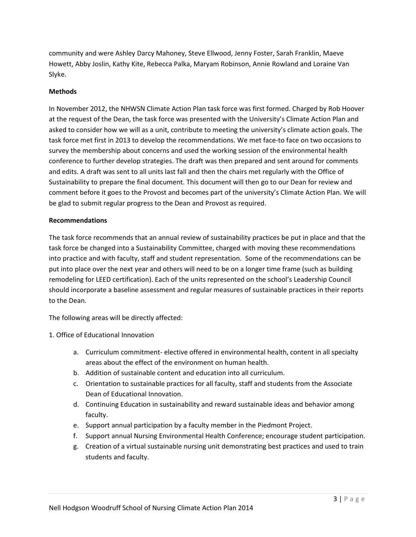community and were Ashley Darcy Mahoney, Steve Ellwood, Jenny Foster, Sarah Franklin, Maeve Howett, Abby Joslin, Kathy Kite, Rebecca Palka, Maryam Robinson, Annie Rowland and Loraine Van Slyke.

### **Methods**

In November 2012, the NHWSN Climate Action Plan task force was first formed. Charged by Rob Hoover at the request of the Dean, the task force was presented with the University's Climate Action Plan and asked to consider how we will as a unit, contribute to meeting the university's climate action goals. The task force met first in 2013 to develop the recommendations. We met face-to face on two occasions to survey the membership about concerns and used the working session of the environmental health conference to further develop strategies. The draft was then prepared and sent around for comments and edits. A draft was sent to all units last fall and then the chairs met regularly with the Office of Sustainability to prepare the final document. This document will then go to our Dean for review and comment before it goes to the Provost and becomes part of the university's Climate Action Plan. We will be glad to submit regular progress to the Dean and Provost as required.

### **Recommendations**

The task force recommends that an annual review of sustainability practices be put in place and that the task force be changed into a Sustainability Committee, charged with moving these recommendations into practice and with faculty, staff and student representation. Some of the recommendations can be put into place over the next year and others will need to be on a longer time frame (such as building remodeling for LEED certification). Each of the units represented on the school's Leadership Council should incorporate a baseline assessment and regular measures of sustainable practices in their reports to the Dean.

The following areas will be directly affected:

- 1. Office of Educational Innovation
	- a. Curriculum commitment- elective offered in environmental health, content in all specialty areas about the effect of the environment on human health.
	- b. Addition of sustainable content and education into all curriculum.
	- c. Orientation to sustainable practices for all faculty, staff and students from the Associate Dean of Educational Innovation.
	- d. Continuing Education in sustainability and reward sustainable ideas and behavior among faculty.
	- e. Support annual participation by a faculty member in the Piedmont Project.
	- f. Support annual Nursing Environmental Health Conference; encourage student participation.
	- g. Creation of a virtual sustainable nursing unit demonstrating best practices and used to train students and faculty.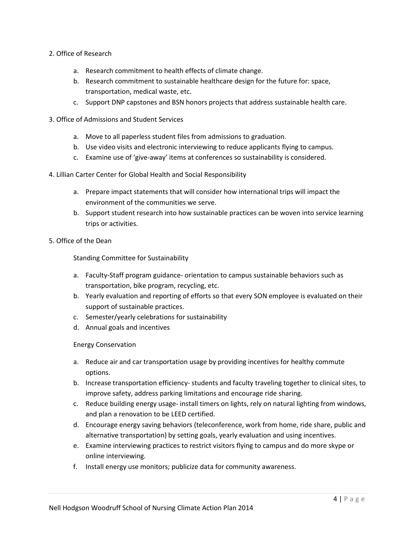- 2. Office of Research
	- a. Research commitment to health effects of climate change.
	- b. Research commitment to sustainable healthcare design for the future for: space, transportation, medical waste, etc.
	- c. Support DNP capstones and BSN honors projects that address sustainable health care.
- 3. Office of Admissions and Student Services
	- a. Move to all paperless student files from admissions to graduation.
	- b. Use video visits and electronic interviewing to reduce applicants flying to campus.
	- c. Examine use of 'give-away' items at conferences so sustainability is considered.
- 4. Lillian Carter Center for Global Health and Social Responsibility
	- a. Prepare impact statements that will consider how international trips will impact the environment of the communities we serve.
	- b. Support student research into how sustainable practices can be woven into service learning trips or activities.
- 5. Office of the Dean

Standing Committee for Sustainability

- a. Faculty-Staff program guidance- orientation to campus sustainable behaviors such as transportation, bike program, recycling, etc.
- b. Yearly evaluation and reporting of efforts so that every SON employee is evaluated on their support of sustainable practices.
- c. Semester/yearly celebrations for sustainability
- d. Annual goals and incentives

Energy Conservation

- a. Reduce air and car transportation usage by providing incentives for healthy commute options.
- b. Increase transportation efficiency- students and faculty traveling together to clinical sites, to improve safety, address parking limitations and encourage ride sharing.
- c. Reduce building energy usage- install timers on lights, rely on natural lighting from windows, and plan a renovation to be LEED certified.
- d. Encourage energy saving behaviors (teleconference, work from home, ride share, public and alternative transportation) by setting goals, yearly evaluation and using incentives.
- e. Examine interviewing practices to restrict visitors flying to campus and do more skype or online interviewing.
- f. Install energy use monitors; publicize data for community awareness.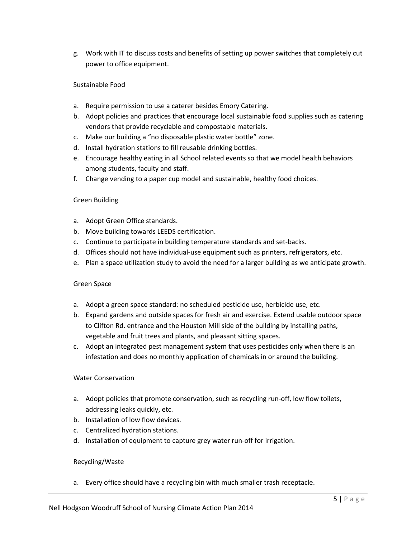g. Work with IT to discuss costs and benefits of setting up power switches that completely cut power to office equipment.

### Sustainable Food

- a. Require permission to use a caterer besides Emory Catering.
- b. Adopt policies and practices that encourage local sustainable food supplies such as catering vendors that provide recyclable and compostable materials.
- c. Make our building a "no disposable plastic water bottle" zone.
- d. Install hydration stations to fill reusable drinking bottles.
- e. Encourage healthy eating in all School related events so that we model health behaviors among students, faculty and staff.
- f. Change vending to a paper cup model and sustainable, healthy food choices.

### Green Building

- a. Adopt Green Office standards.
- b. Move building towards LEEDS certification.
- c. Continue to participate in building temperature standards and set-backs.
- d. Offices should not have individual-use equipment such as printers, refrigerators, etc.
- e. Plan a space utilization study to avoid the need for a larger building as we anticipate growth.

### Green Space

- a. Adopt a green space standard: no scheduled pesticide use, herbicide use, etc.
- b. Expand gardens and outside spaces for fresh air and exercise. Extend usable outdoor space to Clifton Rd. entrance and the Houston Mill side of the building by installing paths, vegetable and fruit trees and plants, and pleasant sitting spaces.
- c. Adopt an integrated pest management system that uses pesticides only when there is an infestation and does no monthly application of chemicals in or around the building.

### Water Conservation

- a. Adopt policies that promote conservation, such as recycling run-off, low flow toilets, addressing leaks quickly, etc.
- b. Installation of low flow devices.
- c. Centralized hydration stations.
- d. Installation of equipment to capture grey water run-off for irrigation.

#### Recycling/Waste

a. Every office should have a recycling bin with much smaller trash receptacle.